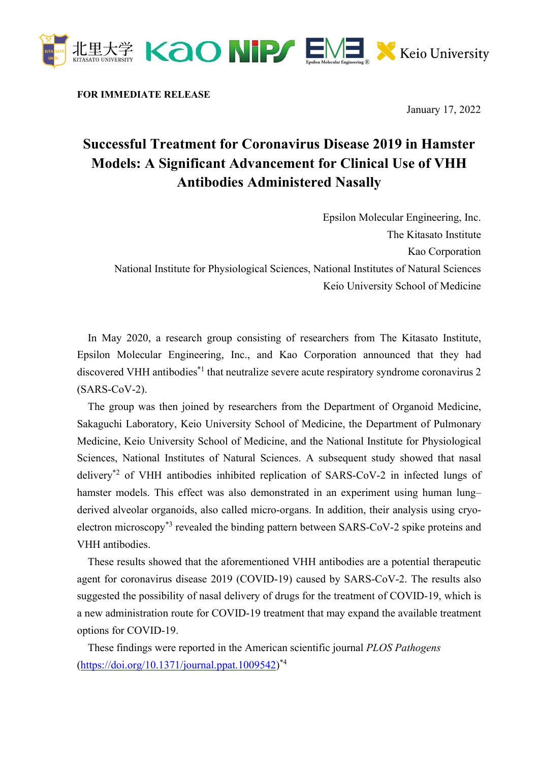

FOR IMMEDIATE RELEASE

January 17, 2022

## Successful Treatment for Coronavirus Disease 2019 in Hamster Models: A Significant Advancement for Clinical Use of VHH Antibodies Administered Nasally

Epsilon Molecular Engineering, Inc. The Kitasato Institute Kao Corporation National Institute for Physiological Sciences, National Institutes of Natural Sciences Keio University School of Medicine

In May 2020, a research group consisting of researchers from The Kitasato Institute, Epsilon Molecular Engineering, Inc., and Kao Corporation announced that they had discovered VHH antibodies<sup>\*1</sup> that neutralize severe acute respiratory syndrome coronavirus 2 (SARS-CoV-2).

The group was then joined by researchers from the Department of Organoid Medicine, Sakaguchi Laboratory, Keio University School of Medicine, the Department of Pulmonary Medicine, Keio University School of Medicine, and the National Institute for Physiological Sciences, National Institutes of Natural Sciences. A subsequent study showed that nasal delivery\*2 of VHH antibodies inhibited replication of SARS-CoV-2 in infected lungs of hamster models. This effect was also demonstrated in an experiment using human lung– derived alveolar organoids, also called micro-organs. In addition, their analysis using cryoelectron microscopy<sup>\*3</sup> revealed the binding pattern between SARS-CoV-2 spike proteins and VHH antibodies.

These results showed that the aforementioned VHH antibodies are a potential therapeutic agent for coronavirus disease 2019 (COVID-19) caused by SARS-CoV-2. The results also suggested the possibility of nasal delivery of drugs for the treatment of COVID-19, which is a new administration route for COVID-19 treatment that may expand the available treatment options for COVID-19.

These findings were reported in the American scientific journal PLOS Pathogens (https://doi.org/10.1371/journal.ppat.1009542)<sup>\*4</sup>